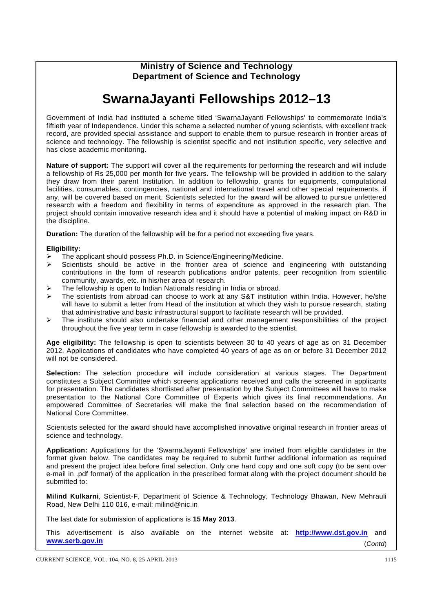## **Ministry of Science and Technology Department of Science and Technology**

## **SwarnaJayanti Fellowships 2012–13**

Government of India had instituted a scheme titled 'SwarnaJayanti Fellowships' to commemorate India's fiftieth year of Independence. Under this scheme a selected number of young scientists, with excellent track record, are provided special assistance and support to enable them to pursue research in frontier areas of science and technology. The fellowship is scientist specific and not institution specific, very selective and has close academic monitoring.

**Nature of support:** The support will cover all the requirements for performing the research and will include a fellowship of Rs 25,000 per month for five years. The fellowship will be provided in addition to the salary they draw from their parent Institution. In addition to fellowship, grants for equipments, computational facilities, consumables, contingencies, national and international travel and other special requirements, if any, will be covered based on merit. Scientists selected for the award will be allowed to pursue unfettered research with a freedom and flexibility in terms of expenditure as approved in the research plan. The project should contain innovative research idea and it should have a potential of making impact on R&D in the discipline*.* 

**Duration:** The duration of the fellowship will be for a period not exceeding five years.

## **Eligibility:**

- ¾ The applicant should possess Ph.D. in Science/Engineering/Medicine.
- $\triangleright$  Scientists should be active in the frontier area of science and engineering with outstanding contributions in the form of research publications and/or patents, peer recognition from scientific community, awards, etc. in his/her area of research.
- The fellowship is open to Indian Nationals residing in India or abroad.
- The scientists from abroad can choose to work at any S&T institution within India. However, he/she will have to submit a letter from Head of the institution at which they wish to pursue research, stating that administrative and basic infrastructural support to facilitate research will be provided.
- $\triangleright$  The institute should also undertake financial and other management responsibilities of the project throughout the five year term in case fellowship is awarded to the scientist.

**Age eligibility:** The fellowship is open to scientists between 30 to 40 years of age as on 31 December 2012. Applications of candidates who have completed 40 years of age as on or before 31 December 2012 will not be considered.

**Selection:** The selection procedure will include consideration at various stages. The Department constitutes a Subject Committee which screens applications received and calls the screened in applicants for presentation. The candidates shortlisted after presentation by the Subject Committees will have to make presentation to the National Core Committee of Experts which gives its final recommendations. An empowered Committee of Secretaries will make the final selection based on the recommendation of National Core Committee.

Scientists selected for the award should have accomplished innovative original research in frontier areas of science and technology.

**Application:** Applications for the 'SwarnaJayanti Fellowships' are invited from eligible candidates in the format given below. The candidates may be required to submit further additional information as required and present the project idea before final selection. Only one hard copy and one soft copy (to be sent over e-mail in .pdf format) of the application in the prescribed format along with the project document should be submitted to:

**Milind Kulkarni**, Scientist-F, Department of Science & Technology, Technology Bhawan, New Mehrauli Road, New Delhi 110 016, e-mail: milind@nic.in

The last date for submission of applications is **15 May 2013**.

This advertisement is also available on the internet website at: **http://www.dst.gov.in** and **www.serb.gov.in** (*Contd*)